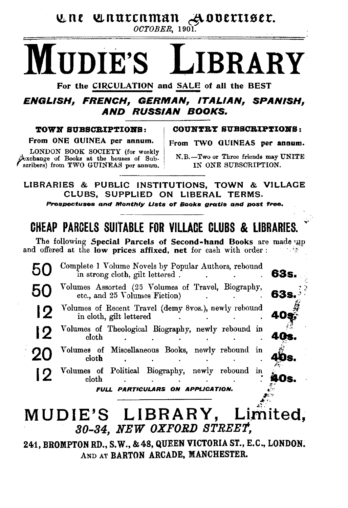une unurenman Aovertiser.

 $OCTOBER$ , 1901.

# **IIDIE'S**

For the CIRCULATION and SALE of all the BEST

### ENGLISH. FRENCH. GERMAN. ITALIAN. SPANISH. **AND RUSSIAN BOOKS.**

### TOWN SUBSCRIPTIONS:

COUNTRY SUBSCRIPTIONS:

From ONE GUINEA per annum.

LONDON BOOK SOCIETY (for weekly Dexchange of Books at the houses of Subscribers) from TWO GUINEAS per annum. From TWO GUINEAS per annum.

N.B.-Two or Three friends may UNITE IN ONE SUBSCRIPTION.

63s

40я

n

LIBRARIES & PUBLIC INSTITUTIONS, TOWN & VILLAGE CLUBS, SUPPLIED ON LIBERAL TERMS.

Prospectuses and Monthly Lists of Books aratis and post free.

### CHEAP PARCELS SUITARLE FOR VILLACE CLUBS & LIBRARIES

The following Special Parcels of Second-hand Books are made up and offered at the low prices affixed, net for cash with order:

Complete 1 Volume Novels by Popular Authors, rebound 50 in strong cloth, gilt lettered.

- Volumes Assorted (25 Volumes of Travel, Biography, 50 etc., and 25 Volumes Fiction)
	- Volumes of Recent Travel (demy 8vos.), newly rebound 12 in cloth, gilt lettered
- Volumes of Theological Biography, newly rebound in 19 eloth.
- Volumes of Miscellaneous Books, newly rebound in 20 cloth
- Volumes of Political Biography, newly rebound in 12 cloth

FULL PARTICULARS ON APPLICATION.

### MUDIE'S LIBRARY, Limited, 30-34, NEW OXFORD STREET,

241, BROMPTON RD., S.W., & 48, QUEEN VICTORIA ST., E.C., LONDON. AND AT BARTON ARCADE, MANCHESTER.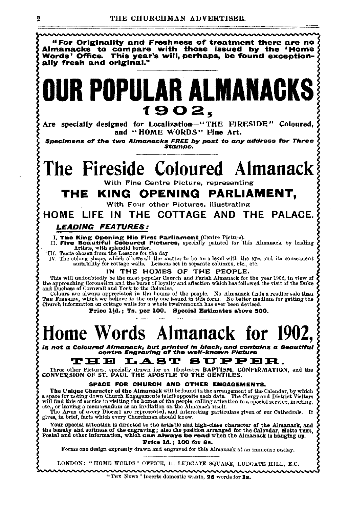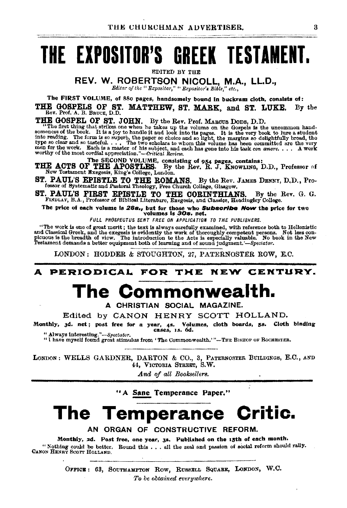# THE EXPOSITOR'S GREEK TESTAMENT.

**EDITED BY THE** 

REV. W. ROBERTSON NICOLL, M.A., LL.D.,

Editor of the " Expositor," " Expositor's Bible." etc.,

The FIRST VOLUME, of 880 pages, handsomely bound in buckram cloth, consists of:

THE GOSPELS OF ST. MATTHEW, ST. MARK, and ST. LUKE. By the Rev. Prof. A. B. BRUCE, D.D.

THE GOSTEL OF ST. JOHN. By the Rev. Prof. MAROUS DODS, D.D.<br>"The first thing that strikes one when he takes up the volume on the Gospels is the uncommon hand-<br>somences of the book. It is a joy to handle it and look into it

THE ACTS OF THE APOSTLES. By the Rev. R. J. KNOWLING, D.D., Professor of New Testament Exegesis, King's College, London.

ST. PAUL'S EPISTLE TO THE ROMANS. By the Rev. JAMES DENNY, D.D., Professor of Systematic and Pastoral Theology, Free Church College, Glasgow.

ST. PAUL'S FIRST EPISTLE TO THE CORINTHIANS. By the Rev. G. G. FINDLAY, B.A., Professor of Biblical Literature, Exegesis, and Classics, Headingley College.

The price of each volume is 28s., but for those who Subscribe Now the price for two

volumes is 30s. net.

FULL PROSPECTUS SENT FREE ON APPLICATION TO THE PUBLISHERS.

"The work is one of great merit; the text is always carefully examined, with reference both to Hellenistic and Classical Greek, and the excepts is evidently the work of thoroughly competent persons. Not less con-<br>picous i

LONDON: HODDER & STOUGHTON, 27, PATERNOSTER ROW, E.C.

#### NEW CENTURY. A PERIODICAL FOR THE

# The Commonwea

A CHRISTIAN SOCIAL MAGAZINE.

Edited by CANON HENRY SCOTT HOLLAND.

Monthly, 3d. net; post free for a year, 4s. Volumes, cloth boards, 5s. Cloth binding cases, 1s, 6d.

" Always interesting."-Spectator. "I have myself found great stimulus from 'The Commonwealth.'"-THE BISHOP OF ROCHESTER.

LONDON: WELLS GARDNER, DARTON & CO., 3, PATERNOSTER BUILDINGS, E.C., AND 44, VICTORIA STREET, S.W.

And of all Booksellers.

"A Sane Temperance Paper."

### The Temperance Critic.

AN ORGAN OF CONSTRUCTIVE REFORM.

Monthly, 2d. Post free, one year, 3s. Published on the 15th of each month. "Nothing could be better. Round this . . . all the zeal and passion of social reform should rally. CANON HENRY SCOTT HOLLAND.

> OFFICE: 63, SOUTHAMPTON ROW, RUSSELL SQUARE, LONDON, W.C. To be obtained everywhere.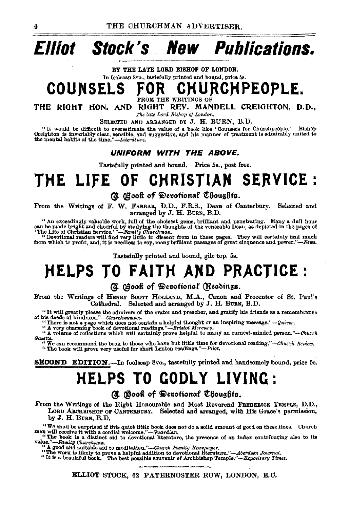# **Elliot Stock's New Publications.**

BY THE LATE LORD BISHOP OF LONDON. In foolscap Svo., tastefully printed and bound, price 5s.

# COUNSELS FOR CHURCHPEOPLE.

THE RIGHT HON. AND RIGHT REV. MANDELL CREIGHTON, D.D., The late Lord Bishop of London.

SELECTED AND ARRANGED BY J. H. BURN, B.D.<br>"It would be difficult to overestimate the value of a book like 'Counsels for Churchpeople." "It would be difficult to overestimate the value of a book like 'Counsels for Churchpeople.' Bishop Oreighton is invariably clear, sensible, and his manner of treatment is admirably united to the mental hy clear the time."

#### **UNIFORM. WITH THE ABOVE.**

Tastefully printed and bound. Price 5s., post free.

### THE LIFE OF CHRISTIAN SERVICE :

### *(I. @*ook of Devotional Choughts.

From the Writings of F. W. FARRAR, D.D., F.R.S., Dean of Canterbury. Selected and arranged by J. H. BURN, B.D.

" An exceedingly valuable work, full of the choicest gems, brilliant and penetrating. Many a dull hour can be made bright and cheerful by studying the thoughts of the venerable Dean, as depicted in the pages of

The Life of Christian Service. "-Family Churchman. **The Service of Service Containstant Containstant** "Devotional readers will find very little to dissent from in these pages. They will certainly find much from which to profit, and, it is needless to say, many brilliant passages of great eloquence and power."-News.

Tastefully printed and bound, gilt top. 5s.

### **HELPS TO FAITH AND PRACTICE:**

#### *(I. (Book of Devotional (Readings.*

From the Writings of HENRY SOOTT HOLLAND, M.A., Canon and Precentor of St. Paul's Cathedral. Selected and arranged by J. H. BURN, B.D.

"It will greatly please the admirers of the orator and preacher, and gratify his friends as a remembrance of his deeds of kindness."--Churchwoman.

"There is not a page which does not contain a helpful thought or an inspiring message."--Quiver.<br>"A very charming book of devotional readings."--Bristo! Mercuvy.<br>"A volume of reflections which will certainly prove helpful

*Gazette.* "We can recommend the book to those who have but little time for devotional reading."-Church Review.

" The book will prove very useful for short Lenten readings."-Pilot.

SECOND EDITION.-In foolscap 8vo., tastefully printed and handsomely bound, price 5a.

## **HELPS TO GODLY LIVING:**

*(A. Book of Devotional Choughts.* 

From the Writings of the Right Honourable and Most Reverend FREDERICK TEMPLE, D.D., LOBD ARCHBISHOP OF CANTERBURY. Selected and arranged, with His Grace's permission, by J. H. BURN, B.D.

"We shall be surprised if this quict little book does not do a solid amount of good on these lines. Church men will receive it with a cordial welcome,"-Guardian,<br>"The book is a distinct sid to devotional literature, the p

value."-Family Churchman. **"A good and suitable aid to meditation."--Church Family Newspaper.** 

"The work is likely to prove a helpful addition to devotionallltersture."-Aberdeen Journal. "It is a beautiful book. The best possible souvenir of Archbishop Temple." *-B:r:pository Tima.* 

ELLIOT STOCK, 62 PATERNOSTER ROW, LONDON, E.C.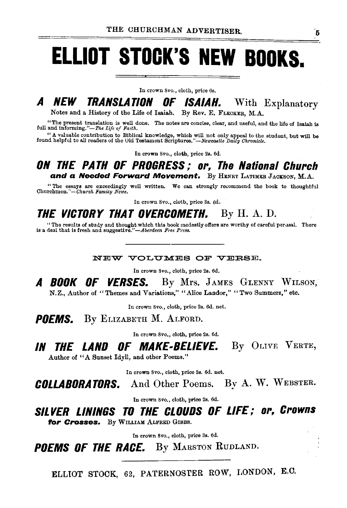# **ELLIOT STOCK'S NEW BOOKS.**

In crown Svo., cloth, price 6s.

### **A NEW TRANSLATION OF ISAIAH.** With Explanatory

Notes and a History of the Life of Isaiah. By Rev. E. FLECKER, M.A.

"The present translation is well done. The notes are concise, clear, and useful, and the life of Isaiah is full and informing."-The Life of Faith.

"A valuable contribution to Biblical knowledge, which will not only appeal to the student, but will be found helpful to all readers of the Old Testament *Scriptures,"-Newcastle Daily Chronicle*.

In crown Svo., cloth, price 2s. 6d.

### ON THE PATH OF PROGRESS; or, The National Church and a Needed Forward Movement. By HENRY LATIMER JACKSON, M.A.

" The essays are exceedingly well written. We can strongly recommend the book to thoughtful Churchmen."-Church *Famity News.* 

In crown Svo., cloth, price 3s. 6d.

### THE VICTORY THAT OVERCOMETH. By H. A. D.

"The results of study and thought which this book modestly offers are worthy of careful perusal. There is a deal that is fresh and suggestive."*-Aberdeen Free Press*.

NEW VOLUMES OF VERSE.

In crown Svo., cloth, price 2s. 6d.

A BOOK OF VERSES. By Mrs. JAMES GLENNY WILSON, N.Z., Author of "Themes and Variations," "Alice Landor," "Two Summers," etc.

In crown Svo., cloth, price 2s. 6d. net.

POEMS. By ELIZABETH M. ALFORD.

In crown Svo., cloth, price 2s. 6d.

### IN THE LAND OF MAKE-BELIEVE. By OLIVE VERTE, Author of "A Sunset Idyll, and other Poems.''

In crown Svo., cloth, price 3s. 6d. net.

COLLABORATORS. And Other Poems. By A. W. WEBSTER.

In crown Svo., cloth, price 2s. 6d.

SILVER LININGS TO THE CLOUDS OF LIFE; or, Crowns for Crosses. By WILLIAM ALFRED GIBBS.

In crown Svo., cloth, price 3s. 6d.

POEMS OF THE RACE. By MARSTON RUDLAND.

ELLIOT STOCK, 62, PATERNOSTER ROW, I.ONDON, E.C.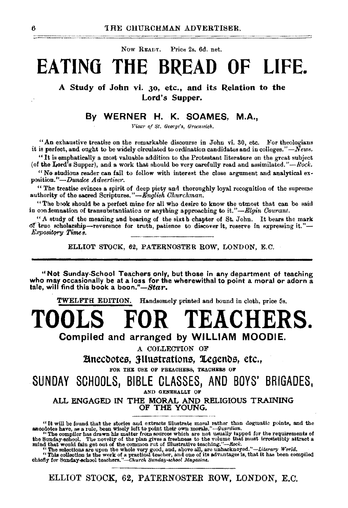Now READY. Price 2s. 6d. net.

## **EATINO THE BREAD OF LIFE.**

A Study of John vi. 30, etc., and its Relation to the Lord's Supper.

### By WERNER H. K. SOAMES, M.A.,

*Vicar of St. George's, Greenwich.* 

 $"An$  exhaustive treatise on the remarkable discourse in John vi. 30, etc. For theologians it is perfect, and ought to be widely circulated to ordination candidates and in colleges." $\overrightarrow{N}$ *ews.* 

 $''$  It is emphatically a most valuable addition to the Protestant literature on the great subject (of the Lord's Supper), and a work that should be very carefully read and assimilated." $-Rock$ .

"No studious reader can fail to follow with interest the close argument and analytical exposition."-Dundee *Advertiser*.

" The treatise evinces a spirit of deep piety and thoroughly loyal recognition of the supreme authority of the sacred Scriptures."-English Churchman.

"The book should be a perfect mine for all who desire to know the utmost that can be said in condemnation of transubstantiation or anything approaching to *it."-Elgin Oourant.* 

"A study of the meaning and bearing of the sixth chapter of St. John. It bears the mark of true scholarship-reverence for truth, patience to discover it, reserve in expressing it."-*Expository Times.* 

ELLIOT STOCK, 62, PATERNOSTER ROW, LONDON, E.C.

"Not Sunday-School Teachers only, but those in any department of teaching who may occasionally be at a loss for the wherewithal to point a moral or adorn a tale, wil find this book a *boon."-Star.* 

TWELFTB: EDITION. Handsomely printed and bound in cloth, price 5s.

TOOLS FOR TEACHERS.

Compiled and arranged by WILLIAM MOODIE.

A COLLECTION OF

Binecdotes, 3-llustrations, 1egends, etc., FOR THE USE OF PBEACHERS, TEACHERS OF

SUNDAY SCHOOLS, BIBLE CLASSES, AND BOYS' BRIGADES, AND GENEBALLY OF

ALL ENGAGED IN THE MORAL AND RELIGIOUS TRAINING OF THE YOUNG.

ELLIOT STOCK, 62, PATERNOSTER ROW, LONDON, E.C.

<sup>&</sup>quot;It will be found that the stories and extracts Illustrate moral rather than dogmatic points, and the aneodotes have, as a rule, been wisely left to point their own morals." $\sim$ Guardian.

The compiler has drawn his matter from sources which are not usually tapped for the requirements of the Sunday-school. The novely of the plan gives a freshmess to the volume that must irresistibly attract a mind that woul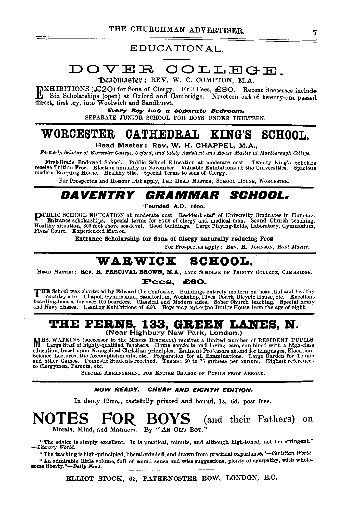### EDUCATIONAL.

### DOVER COLLEGE\_

Theadmaster: REV. W. C. COMPTON, M.A.

EXHIBITIONS (£20) for Sons of Clergy. Full Fees, £80. Recent Successes include Six Scholarships (open) at Oxford and Cambridge. Nineteen out of twenty-one passed direct, first try, into Woolwich and Sandhurst.

> Every Boy has a separate Bedroom. SEPARATE JUNIOR SCHOOL FOR BOYS UNDER THIRTEEN.

### WORCESTER CATHEDRAL KING'S SCHOOL.

Head Master: Rev. W. H. CHAPPEL, M.A.,

Formerly Scholar of Worcester College, Oxford, and lately Assistant and House Master at Marlborough College.

First-Grade Endowed School. Public School Education at moderate cost. Twenty King's Scholars<br>receive Tuition Free. Election annually in November. Valuable Exhibitions at the Universities. Spacious<br>modern Boarding Hous

For Prospectus and Honour List apply, THE HEAD MASTER, SCHOOL HOUSE, WORCESTER.

### DAVENTRY GRAMMAR SCHOOL.

"Founded A.D. 16oo.

**PUBLIC SCHOOL EDUCATION at moderate cost. Resident staff of University Graduates in Honours.**<br>Entrance scholarships. Special terms for sons of clergy and medical men. Sound Church teaching.<br>Healthy situation, 300 feet abo Fives' Court. Experienced Matron.

Entrance Scholarship for Sons of Clergy naturally reducing Fees.

For Prospectus apply: REV. H. JOHNSON, *Head Master*.

## WARWICK SCHOOL. HEAD MASTER: Rev. R. PERCIVAL BROWN, M.A., LATE SCHOLAR OF TRINITY COLLEGE, CAMBRIDGE.

#### Fees. £80.

THE School was chartered by Edward the Confessor. Buildings entirely modern on beautiful and healthy country site. Chapel, Gymnasium, Sanatorium, Workshop, Fives' Court, Bicycle House, etc. Excellent boarding-houses for ov

## THE FERNS, 133, GREEN LANES, N.<br>
(Near Highbury New Park, London.)

MRS. WATKINS (successor to the MISSES BIRCHALL) receives a limited number of RESIDENT PUPILS Large Staff of highly-qualified Teachers. Home comforts and loving care, combined with a high-class education, based upon Evangelical Christian principles. Eminent Professors attend for Languages, Elocution, and diention, and the complishments, etc. Preparation for all Examinations. Large Garden for Tennis and other Game

SPECIAL ARRANGEMENT FOR ENTIRE CHARGE OF PUPILS FROM ABROAD.

#### NOW READY. CHEAP AND EIGHTH EDITION.

In demy 12mo., tastefully printed and bound, Is. 6d. post free.

### (and their Fathers) on Morals, Mind, and Manners. By "AN OLD BOY."

" The advice is simply excellent. It is practical, minute, and although high-toned, not too stringent." *-Literary* IV *orld.* 

"The teaching is high-principled, liberal-minded, and drawn from practical experience."-Christian World. "An admirable little volume, full of sound sense and wise suggestions, plenty of sympathy, with whole- some liberty."-Daily *News.* 

ELLIOT STOCK, 62, PATERNOSTER ROW, LONDON, E.C.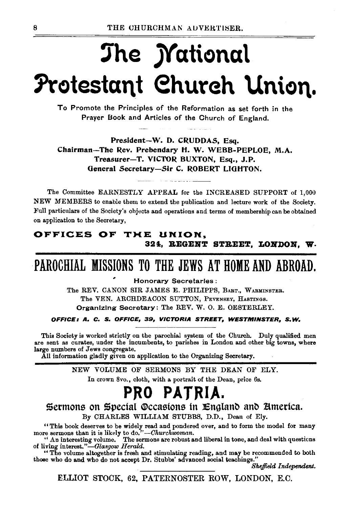# The *M*ational Protestant Church Union.

To Promote the Principles of the Reformation as set forth in the Prayer Book and Articles of the Church of England.

President-W. D. CRUDDAS, Esq. Chairman-The Rev. Prebendary H. W. WEBB-PEPLOE, M.A. Treasurer-T. VICTOR BUXTON, Esq., J.P. General Secretary-Sir C. ROBERT LIGHTON.

The Committee EARNESTLY APPEAL for the INCREASED SUPPORT of 1,000 NEW MEMBERS to enable them to extend the publication and lecture work of the Society. Full particulars of the Society's objects and operations and terms of membership can be obtained on application to the Secretary,

### OFFICES OF THE UNION, 324, REGENT STREET, LONDON, W.

### PAROCHIAL MISSIONS TO THE JEWS AT HOME AND ABROAD.

**Honorary Secretaries:** 

The REV. CANON SIR JAMES E. PHILIPPS, BART., WARMINSTER. The VEN. ARCHDEACON SUTTON, PEVENSEY, HASTINGS. Organizing Secretary: The REV. W. O. E. OESTERLEY.

OFFICE: A. C. S. OFFICE, 39, VICTORIA STREET, WESTMINSTER, S.W.

This Society is worked strictly on the parochial system of the Church. Duly qualified men are sent as curates, under the incumbents, to parishes in London and other big towns, where large numbers of Jews congregate.

All information gladly given on application to the Organizing Secretary.

NEW VOLUME OF SERMONS BY THE DEAN OF ELY.

In crown 8vo., cloth, with a portrait of the Dean, price 6s.

### PRO PATRIA.

Sermons on Special Occasions in England and America.

By CHARLES WILLIAM STUBBS, D.D., Dean of Ely.

"This book deserves to be widely read and pondered over, and to form the model for many more sermons than it is likely to do."--Churchwoman.<br>"An interesting volume. The sermons are robust and liberal in tone, and deal wit

of living interest."-Glasgow Herald.

"The volume altogether is fresh and stimulating reading, and may be recommended to both those who do and who do not accept Dr. Stubbs' advanced social teachings."

Sheffield Independent.

ELLIOT STOCK, 62, PATERNOSTER ROW, LONDON, E.C.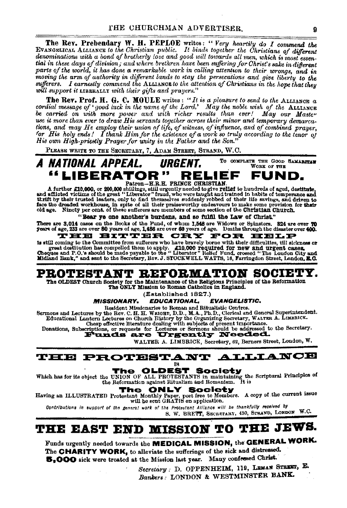The Rev. Prebendary W. H. PEPLOE writes: "Very heartily do I commend the EVANGELICAL ALLIANCE to the Christian public. It binds together the Christians of different denominations with a bond of brotherly love and good will towards all men, which is most essential in these days of division; and where brethren have been suffering for Christ's sake in different parts of the world, it has done a remarkable work in calling attention to their wrongs, and in moving the arm of authority in different lands to stay the persecutions and give liberty to the sufferers. I earnestly commend the ALLIANCE to the attention of Christians in the hope that they will support it LIBERALLY with their gifts and prayers."

**The Rev. Prof. H. G. C. MOULE** writes: "It is a pleasure to send to the ALLIANOR a cordial message of 'good luck in the name of the Lord.' May the noble wish of the ALLIANOR be carried on with more power and with richer results than ever! May our Master use it more than ever to draw His servants together across their minor and temporary demarcations, and may He employ their union of life, of witness, of influence, and of combined prayer, for His holy ends! I thank Him for the existence of a work so truly according to the tenor of His own High-priestly Prayer for unity in the Father and the Son."

PLEASE WRITE TO THE SECRETARY, 7, ADAM STREET, STRAND, W.C.



A further £10,000, or 200,000 shillings, still urgently needed to give relief to hundreds of aged, destitute,<br>and afflicted victims of the great "Liberator" fraud, who were taught and trained in habits of temperance and thrift by their trusted leaders, only to find themselves suddenly robbed of their life savings, and driven to face the dreaded workhouse, in spite of all their praiseworthy endeavours to make some provision for their old age. Ninoty per cent. of these sufferers are members of some section of the Christian Church.

"Bear ye one another's burdens, and so fulfil the Law of Christ."

There are 3.014 cases on the Books of the Fund, of whom 1.548 are Widows or Spinsters. 824 are over 70 years of age, 233 are over 80 years of age, 1,486 are over 60 years of age. Deaths through the disaster over 400. THE BITTER CRY FOR HELP

is still coming to the Committee from sufferers who have bravely borne with their difficulties, till sickness or

great destitution has compelled them to apply. £10,000 required for new and urgent cases.<br>Cheques and P.O.'s should be made payable to the "Liberator" Relief Fund, crossed "The London City and

Midland Bank," and sent to the Secretary, Rev. J. STOCKWELL WATTS, 16, Farringdon Street, London, E.C.

### PROTESTANT REFORMATION SOCIET

The OLDEST Church Society for the Maintenance of the Religious Principles of the Reformation The ONLY Mission to Roman Catholics in England.

(Established 1827.)

**MISSIONARY. EDUCATIONAL. EVANGELISTIC.** 

Resident Missionaries to Roman and Ritualistic Centres.

Sermons and Lectures by the Rev. C. H. H. WRIGHT, D. D., M.A., Ph.D., Clerical and General Superintendent.<br>Educational Lantern Lectures on Church History by the Organizing Secretary, WALTER A. LIMBRICK. Cheap effective literature dealing with subjects of present importance.

Donations, Subscriptions, or requests for Lectures or Sermons should be addressed to the Secretary.

WALTER A. LIMBRICK, Secretary, 62, Berners Street, London, W.

**THE PROTESTANT ALLIANCE** m

Which has for its object the UNION OF ALL PROTESTANTS in maintaining the Scriptural Principles of

#### **NLY Society** 'ne

Having an ILLUSTRATED Protestant Monthly Paper, poet free to Members. A copy of the current issue will be sent GRATIS on application.

Contributions in support of the general work of the Protestant Alliance will be thankfully received by S. W. BRETT, SECRETARY, 430, STRAND, LONDON W.C.

### THE EAST END MISSION TO THE JEWS.

Funds urgently needed towards the MEDICAL MISSION, the GENERAL WORK. The CHARITY WORK, to alleviate the sufferings of the sick and distressed. 5,000 sick were treated at the Mission last year. Many confessed Christ.

Secretary : D. OPPENHEIM, 119, LEMAN STREET, E. Bankers: LONDON & WESTMINSTER BANK.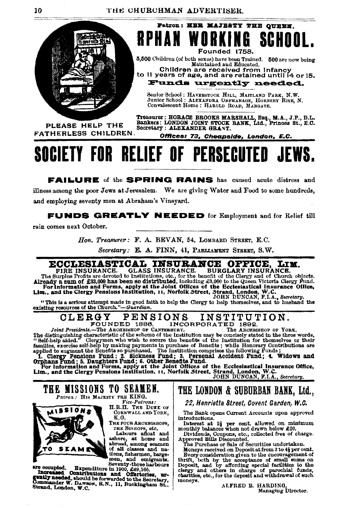

**RPHAN WORKING** SCHOOL. Founded 1758. 5.500 Children (of both sexes) have been Trained. 500 are now being Maintained and Educated.

Patron: HER MAJESTY THE OUEEN.

Children are received from Infancy<br>to il years of age, and are retained until i4 or 15.

Funds urgently needed.

Senior School: HAVERSTOCK HILL, MAITLAND PARK, N.W. Junior School: ALEXANDRA ORPHANAGE, HORNEEY RISE, N. Convalescent Home: HAROLD ROAD, MARGATE.

PLEASE HELP THE FATHERLESS CHILDREN.

Treasurer: HORACE BROOKS MARSHALL, Esq., M.A., J.P., D.L.<br>Bankers: LONDON JOINT STOCK BANK, Ltd., Princes St., E.C.<br>Secretary: ALEXANDER GRANT.

Offices: 73, Cheapside, London, E.C.

# SOCIETY FOR RELIEF OF PERSECUTED JEWS.

**FAILURE** of the **SPRING RAINS** has caused acute distress and illness among the poor Jews at Jerusalem. We are giving Water and Food to some hundreds, and employing seventy men at Abraham's Vineyard.

**FUNDS GREATLY NEEDED** for Employment and for Relief till

rain comes next October.

Hon, Treasurer: F. A. BEVAN, 54, LOMBARD STREET, E.C.

Secretary: E. A. FINN, 41, PARLIAMENT STREET, S.W.

### ECCLESIASTICAL INSURANCE OFFICE, LITTLE INSURANCE. GLASS INSURANCE. BURGLARY INSURANCE. LIM.

ECCLESIASTICAL INSURANCE.<br>
FIRE INSURANCE. GLASS INSURANCE.<br>
FIRE INSURANCE. GLASS INSURANCE.<br>
The Surplus Profits are devoted to Institutions, etc., for the benefit of the Clergy and of Church objects.<br>
Already a sum of £

"This is a scrious attempt made in good faith to help the Clergy to help themselves, and to husband the existing resources of the Church."-Guardian.

INSTITUTION. **CLERGY PENSIONS** FOUNDED 1886. INCORPORATED 1892.

Joint Presidents.-The ARCHBISHOP OF CANTERBURY. consequently consequently consequently. The ARCEBISHOP OF YORK,<br>The distinguishing characteristic of the scheme of the Institution may be consistly stated in the three words,<br>"Self-halp aided." (Clergymen who wish to secur The ARCHBISHOP OF YORK. The distinguishing characteristic of the scheme of the institution may be concesely stated in the tarted widel,<br>
"Self-help by making payments in purchase of Benefits ; while Homodyson their<br>
familles, exercise self-help b

### THE MISSIONS TO SEAMEN. Patron: HIS MAJESTY THE KING.



Vice-Patrons: H.R.H. THE DUKE OF CORNWALL AND YORK, K.G.

Тне гола Ансивияноре. THE BISHOPS, etc.<br>Labours afloat and

ashore, at home and abroad, among seamen of all classes and nations, fishermen, barge-men, and emigrants. Seventy-three harbours

are occupied. Expenditure in 1900, £49,166, harbours<br>
Increased Contributions and Offertories, urgently needed, should be forwarded to the Secretary,<br>
gently needed, should be forwarded to the Secretary,<br>
Strand, London, W

### THE LONDON & SUBURBAN BANK, Ltd.,

22, Henrietta Street, Covent Garden, W.C.

The Bank opens Current Accounts upon approved introductions.

Interest at  $2\frac{1}{2}$  per cent. allowed on minimum monthly balances when not drawn below £20.

Dividends, Coupons, etc., collected free of charge.<br>Approved Bills Discounted.<br>The Purchase or Sale of Securities undertaken.

The Purchase or Saie of Scourities understaten.<br>Moneys received on Deposit at from 3 to 44 per cent.<br>Every consideration given to the encouragement of<br>thrift, both by the acceptance of small sums on<br>Deposit, and by affordi moneys.

> ALFRED B. HARDING. Managing Director.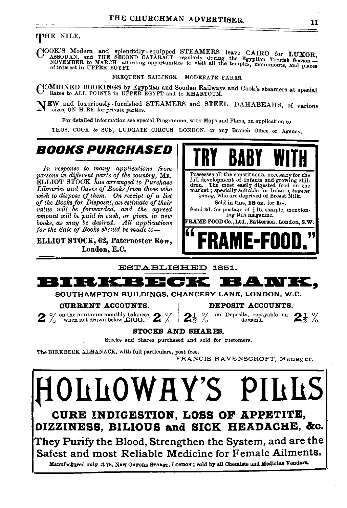### THE NILE.

COOK'S Modern and splendidly equipped STEAMERS leave CAIRO for LUXOR, and THE SECOND CATARACT, regularly during the Egyptian Tourist Season – NOVEMBER to MARCH—affording opportunities to visit all the temples, monuments, a

FREQUENT SAILINGS. MODERATE FARES.

COMBINED BOOKINGS by Egyptian and Soudan Railways and Cook's steamers at special Rates to ALL POINTS in UPPER EGYPT and to KHARTOUM.

 $N_{\text{size, ON HIRE}}$  furnished STEAMERS and STEEL DAHABEAHS, of various sizes, ON HIRE for private parties.

For detailed infurmation see special Programme, with Maps and Plans, on application to

THOS. COOK & SON, LUDGATE CIRCUS, LONDON, or any Branch Office or Agency.

### **BOOKS PURCHASED**

*In response to many applications from persons in dijferent parts of the country,* MR. ELLIOT STOCK *has arranged to Purchase Libraries and Cases of Books from those who wish to dispose of them. On receipt of a list of the Books for Disposal, an estimate of their value will be forwarded, and the agreed amount will be paid in cash, or given in new books, as may be desired. All applications for the Sale of Books should be made to-*

ELLIOT STOCK, 62, Paternoster Row, London, E.C.



ESTABLISHED 1851.



SOUTHAMPTON BUILDINGS, CHANCERY LANE, LONDON, W.C.

**CURRENT ACCOUNTS.** DEPOSIT ACCOUNTS.<br>on the minimum monthly balances,  $\bullet$  of  $\bullet$   $\bullet$   $\bullet$   $\bullet$  on Deposits, repayable on  $\%$  on the minimum monthly balances, **2**  $\%$  **2**  $\frac{1}{2}$   $\%$  on Deposits, repayable on **2**<sup>1</sup>/<sub>2</sub>  $\%$ 

#### STOCKS AND SHARES.

Stocks and Shares purchased and sold for customers.

The BIRKBECK ALMANAOK, with full particulars, post free.

FRANCIS RAVENSCROFT, Manager.

**fLLOWHY'S 1 CURE INDIGESTION, LOSS OF APPETITE, DIZZINESS, BILIOUS and SICK HEADACHE, &c.** 

They Purify the Blood, Strengthen the System, and are the Safest and most Reliable Medicine for Female Ailments.

Manufactured only .t 78, NEW OXFORD STREET, LONDON; sold by all Chemists and Medicine Vendors.